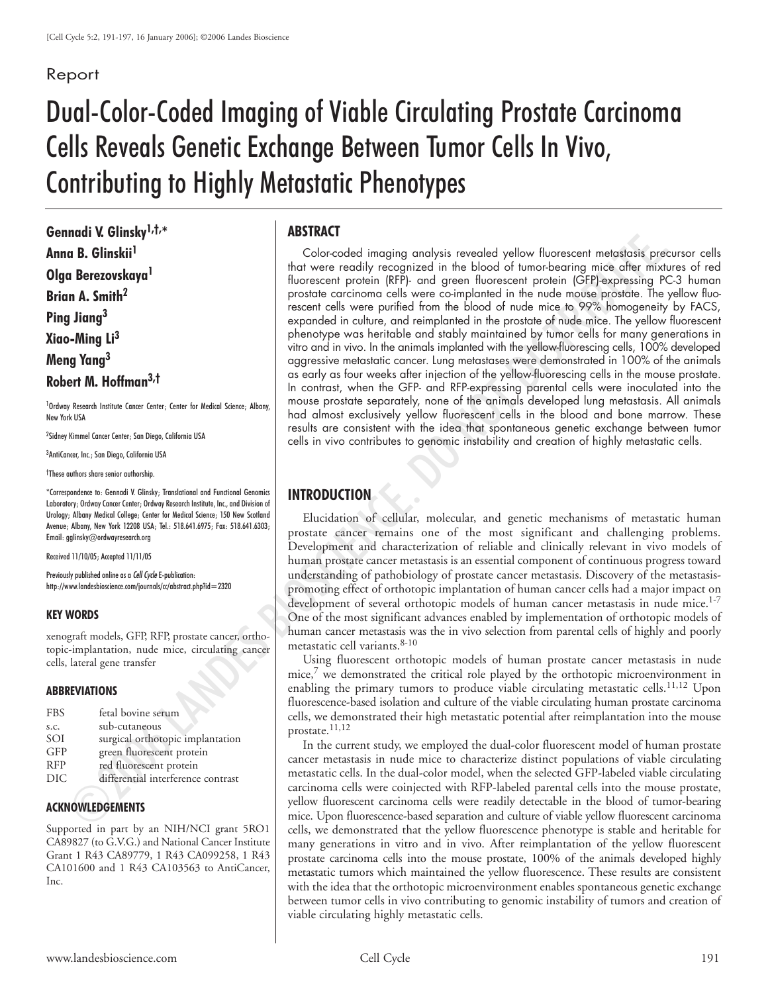## **Report**

# Dual-Color-Coded Imaging of Viable Circulating Prostate Carcinoma Cells Reveals Genetic Exchange Between Tumor Cells In Vivo, Contributing to Highly Metastatic Phenotypes

**Gennadi V. Glinsky1,†,\* Anna B. Glinskii1 Olga Berezovskaya<sup>1</sup> Brian A. Smith2 Ping Jiang3 Xiao-Ming Li<sup>3</sup> Meng Yang3 Robert M. Hoffman3,†**

<sup>1</sup>Ordway Research Institute Cancer Center; Center for Medical Science; Albany, New York USA

2 Sidney Kimmel Cancer Center; San Diego, California USA

3 AntiCancer, Inc.; San Diego, California USA

† These authors share senior authorship.

\*Correspondence to: Gennadi V. Glinsky; Translational and Functional Genomics Laboratory; Ordway Cancer Center; Ordway Research Institute, Inc., and Division of Urology; Albany Medical College; Center for Medical Science; 150 New Scotland Avenue; Albany, New York 12208 USA; Tel.: 518.641.6975; Fax: 518.641.6303; Email: gglinsky@ordwayresearch.org

Received 11/10/05; Accepted 11/11/05

Previously published online as a *Cell Cycle* E-publication: http://www.landesbioscience.com/journals/cc/abstract.php?id=2320

#### **KEY WORDS**

xenograft models, GFP, RFP, prostate cancer, orthotopic-implantation, nude mice, circulating cancer cells, lateral gene transfer

#### **ABBREVIATIONS**

- FBS fetal bovine serum
- s.c. sub-cutaneous
- SOI surgical orthotopic implantation
- GFP green fluorescent protein RFP red fluorescent protein
- DIC differential interference contrast
- 

## **ACKNOWLEDGEMENTS**

Supported in part by an NIH/NCI grant 5RO1 CA89827 (to G.V.G.) and National Cancer Institute Grant 1 R43 CA89779, 1 R43 CA099258, 1 R43 CA101600 and 1 R43 CA103563 to AntiCancer, Inc.

## **ABSTRACT**

**FROM A Control of the set of the set of the set of the set of the set of the set of the set of the set of the set of the set of the set of the set of the set of the set of the set of the set of the set of the set of the Color-coded imaging analysis revealed yellow fluorescent metastasis precursor cells that were readily recognized in the blood of tumor-bearing mice after mixtures of red fluorescent protein (RFP)- and green fluorescent protein (GFP)-expressing PC-3 human prostate carcinoma cells were co-implanted in the nude mouse prostate. The yellow fluorescent cells were purified from the blood of nude mice to 99% homogeneity by FACS, expanded in culture, and reimplanted in the prostate of nude mice. The yellow fluorescent phenotype was heritable and stably maintained by tumor cells for many generations in vitro and in vivo. In the animals implanted with the yellow-fluorescing cells, 100% developed aggressive metastatic cancer. Lung metastases were demonstrated in 100% of the animals as early as four weeks after injection of the yellow-fluorescing cells in the mouse prostate. In contrast, when the GFP- and RFP-expressing parental cells were inoculated into the mouse prostate separately, none of the animals developed lung metastasis. All animals had almost exclusively yellow fluorescent cells in the blood and bone marrow. These results are consistent with the idea that spontaneous genetic exchange between tumor cells in vivo contributes to genomic instability and creation of highly metastatic cells.**

## **INTRODUCTION**

Elucidation of cellular, molecular, and genetic mechanisms of metastatic human prostate cancer remains one of the most significant and challenging problems. Development and characterization of reliable and clinically relevant in vivo models of human prostate cancer metastasis is an essential component of continuous progress toward understanding of pathobiology of prostate cancer metastasis. Discovery of the metastasispromoting effect of orthotopic implantation of human cancer cells had a major impact on development of several orthotopic models of human cancer metastasis in nude mice.<sup>1-7</sup> One of the most significant advances enabled by implementation of orthotopic models of human cancer metastasis was the in vivo selection from parental cells of highly and poorly metastatic cell variants. 8-10

Using fluorescent orthotopic models of human prostate cancer metastasis in nude mice, $7$  we demonstrated the critical role played by the orthotopic microenvironment in enabling the primary tumors to produce viable circulating metastatic cells.<sup>11,12</sup> Upon fluorescence-based isolation and culture of the viable circulating human prostate carcinoma cells, we demonstrated their high metastatic potential after reimplantation into the mouse prostate.11,12

In the current study, we employed the dual-color fluorescent model of human prostate cancer metastasis in nude mice to characterize distinct populations of viable circulating metastatic cells. In the dual-color model, when the selected GFP-labeled viable circulating carcinoma cells were coinjected with RFP-labeled parental cells into the mouse prostate, yellow fluorescent carcinoma cells were readily detectable in the blood of tumor-bearing mice. Upon fluorescence-based separation and culture of viable yellow fluorescent carcinoma cells, we demonstrated that the yellow fluorescence phenotype is stable and heritable for many generations in vitro and in vivo. After reimplantation of the yellow fluorescent prostate carcinoma cells into the mouse prostate, 100% of the animals developed highly metastatic tumors which maintained the yellow fluorescence. These results are consistent with the idea that the orthotopic microenvironment enables spontaneous genetic exchange between tumor cells in vivo contributing to genomic instability of tumors and creation of viable circulating highly metastatic cells.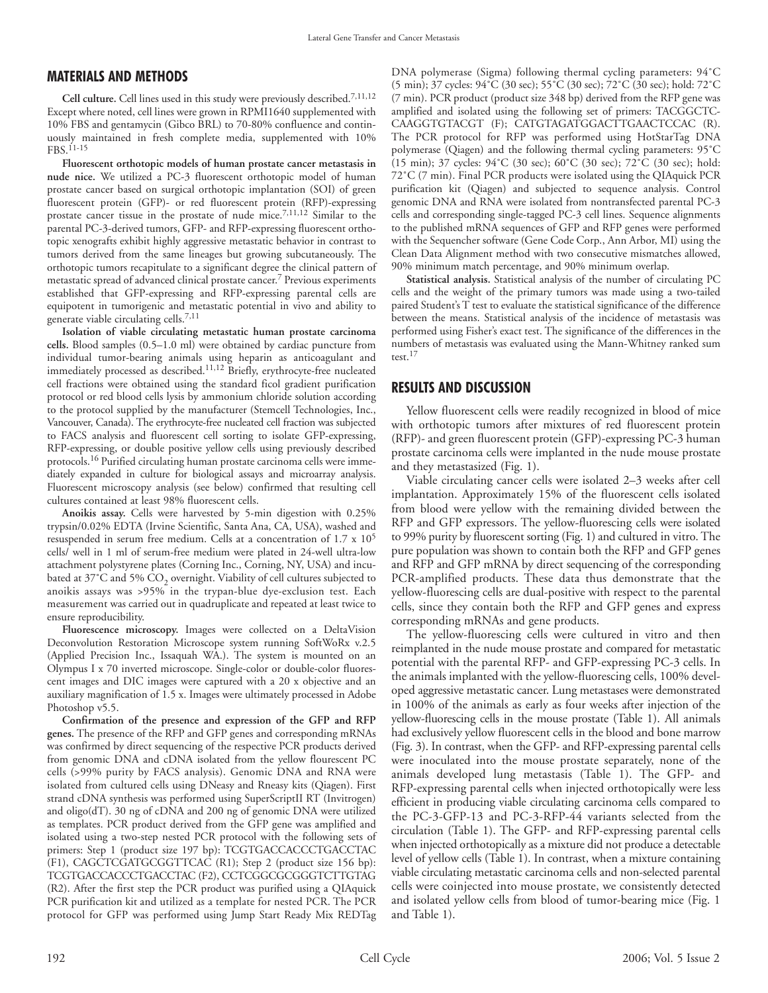### **MATERIALS AND METHODS**

Cell culture. Cell lines used in this study were previously described.<sup>7,11,12</sup> Except where noted, cell lines were grown in RPMI1640 supplemented with 10% FBS and gentamycin (Gibco BRL) to 70-80% confluence and continuously maintained in fresh complete media, supplemented with 10% FBS.<sup>11-15</sup>

**Fluorescent orthotopic models of human prostate cancer metastasis in nude nice.** We utilized a PC-3 fluorescent orthotopic model of human prostate cancer based on surgical orthotopic implantation (SOI) of green fluorescent protein (GFP)- or red fluorescent protein (RFP)-expressing prostate cancer tissue in the prostate of nude mice.<sup>7,11,12</sup> Similar to the parental PC-3-derived tumors, GFP- and RFP-expressing fluorescent orthotopic xenografts exhibit highly aggressive metastatic behavior in contrast to tumors derived from the same lineages but growing subcutaneously. The orthotopic tumors recapitulate to a significant degree the clinical pattern of metastatic spread of advanced clinical prostate cancer.7 Previous experiments established that GFP-expressing and RFP-expressing parental cells are equipotent in tumorigenic and metastatic potential in vivo and ability to generate viable circulating cells.7,11

**Isolation of viable circulating metastatic human prostate carcinoma cells.** Blood samples (0.5–1.0 ml) were obtained by cardiac puncture from individual tumor-bearing animals using heparin as anticoagulant and immediately processed as described.<sup>11,12</sup> Briefly, erythrocyte-free nucleated cell fractions were obtained using the standard ficol gradient purification protocol or red blood cells lysis by ammonium chloride solution according to the protocol supplied by the manufacturer (Stemcell Technologies, Inc., Vancouver, Canada). The erythrocyte-free nucleated cell fraction was subjected to FACS analysis and fluorescent cell sorting to isolate GFP-expressing, RFP-expressing, or double positive yellow cells using previously described protocols.16 Purified circulating human prostate carcinoma cells were immediately expanded in culture for biological assays and microarray analysis. Fluorescent microscopy analysis (see below) confirmed that resulting cell cultures contained at least 98% fluorescent cells.

**Anoikis assay.** Cells were harvested by 5-min digestion with 0.25% trypsin/0.02% EDTA (Irvine Scientific, Santa Ana, CA, USA), washed and resuspended in serum free medium. Cells at a concentration of 1.7 x 105 cells/ well in 1 ml of serum-free medium were plated in 24-well ultra-low attachment polystyrene plates (Corning Inc., Corning, NY, USA) and incubated at 37°C and 5% CO<sub>2</sub> overnight. Viability of cell cultures subjected to anoikis assays was >95% in the trypan-blue dye-exclusion test. Each measurement was carried out in quadruplicate and repeated at least twice to ensure reproducibility.

**Fluorescence microscopy.** Images were collected on a DeltaVision Deconvolution Restoration Microscope system running SoftWoRx v.2.5 (Applied Precision Inc., Issaquah WA.). The system is mounted on an Olympus I x 70 inverted microscope. Single-color or double-color fluorescent images and DIC images were captured with a 20 x objective and an auxiliary magnification of 1.5 x. Images were ultimately processed in Adobe Photoshop v5.5.

**Confirmation of the presence and expression of the GFP and RFP genes.** The presence of the RFP and GFP genes and corresponding mRNAs was confirmed by direct sequencing of the respective PCR products derived from genomic DNA and cDNA isolated from the yellow flourescent PC cells (>99% purity by FACS analysis). Genomic DNA and RNA were isolated from cultured cells using DNeasy and Rneasy kits (Qiagen). First strand cDNA synthesis was performed using SuperScriptII RT (Invitrogen) and oligo(dT). 30 ng of cDNA and 200 ng of genomic DNA were utilized as templates. PCR product derived from the GFP gene was amplified and isolated using a two-step nested PCR protocol with the following sets of primers: Step 1 (product size 197 bp): TCGTGACCACCCTGACCTAC (F1), CAGCTCGATGCGGTTCAC (R1); Step 2 (product size 156 bp): TCGTGACCACCCTGACCTAC (F2), CCTCGGCGCGGGTCTTGTAG (R2). After the first step the PCR product was purified using a QIAquick PCR purification kit and utilized as a template for nested PCR. The PCR protocol for GFP was performed using Jump Start Ready Mix REDTag

DNA polymerase (Sigma) following thermal cycling parameters: 94˚C (5 min); 37 cycles: 94˚C (30 sec); 55˚C (30 sec); 72˚C (30 sec); hold: 72˚C (7 min). PCR product (product size 348 bp) derived from the RFP gene was amplified and isolated using the following set of primers: TACGGCTC-CAAGGTGTACGT (F); CATGTAGATGGACTTGAACTCCAC (R). The PCR protocol for RFP was performed using HotStarTag DNA polymerase (Qiagen) and the following thermal cycling parameters: 95˚C (15 min); 37 cycles: 94˚C (30 sec); 60˚C (30 sec); 72˚C (30 sec); hold: 72˚C (7 min). Final PCR products were isolated using the QIAquick PCR purification kit (Qiagen) and subjected to sequence analysis. Control genomic DNA and RNA were isolated from nontransfected parental PC-3 cells and corresponding single-tagged PC-3 cell lines. Sequence alignments to the published mRNA sequences of GFP and RFP genes were performed with the Sequencher software (Gene Code Corp., Ann Arbor, MI) using the Clean Data Alignment method with two consecutive mismatches allowed, 90% minimum match percentage, and 90% minimum overlap.

**Statistical analysis.** Statistical analysis of the number of circulating PC cells and the weight of the primary tumors was made using a two-tailed paired Student's T test to evaluate the statistical significance of the difference between the means. Statistical analysis of the incidence of metastasis was performed using Fisher's exact test. The significance of the differences in the numbers of metastasis was evaluated using the Mann-Whitney ranked sum test.<sup>17</sup>

#### **RESULTS AND DISCUSSION**

Yellow fluorescent cells were readily recognized in blood of mice with orthotopic tumors after mixtures of red fluorescent protein (RFP)- and green fluorescent protein (GFP)-expressing PC-3 human prostate carcinoma cells were implanted in the nude mouse prostate and they metastasized (Fig. 1).

Viable circulating cancer cells were isolated 2–3 weeks after cell implantation. Approximately 15% of the fluorescent cells isolated from blood were yellow with the remaining divided between the RFP and GFP expressors. The yellow-fluorescing cells were isolated to 99% purity by fluorescent sorting (Fig. 1) and cultured in vitro. The pure population was shown to contain both the RFP and GFP genes and RFP and GFP mRNA by direct sequencing of the corresponding PCR-amplified products. These data thus demonstrate that the yellow-fluorescing cells are dual-positive with respect to the parental cells, since they contain both the RFP and GFP genes and express corresponding mRNAs and gene products.

The yellow-fluorescing cells were cultured in vitro and then reimplanted in the nude mouse prostate and compared for metastatic potential with the parental RFP- and GFP-expressing PC-3 cells. In the animals implanted with the yellow-fluorescing cells, 100% developed aggressive metastatic cancer. Lung metastases were demonstrated in 100% of the animals as early as four weeks after injection of the yellow-fluorescing cells in the mouse prostate (Table 1). All animals had exclusively yellow fluorescent cells in the blood and bone marrow (Fig. 3). In contrast, when the GFP- and RFP-expressing parental cells were inoculated into the mouse prostate separately, none of the animals developed lung metastasis (Table 1). The GFP- and RFP-expressing parental cells when injected orthotopically were less efficient in producing viable circulating carcinoma cells compared to the PC-3-GFP-13 and PC-3-RFP-44 variants selected from the circulation (Table 1). The GFP- and RFP-expressing parental cells when injected orthotopically as a mixture did not produce a detectable level of yellow cells (Table 1). In contrast, when a mixture containing viable circulating metastatic carcinoma cells and non-selected parental cells were coinjected into mouse prostate, we consistently detected and isolated yellow cells from blood of tumor-bearing mice (Fig. 1 and Table 1).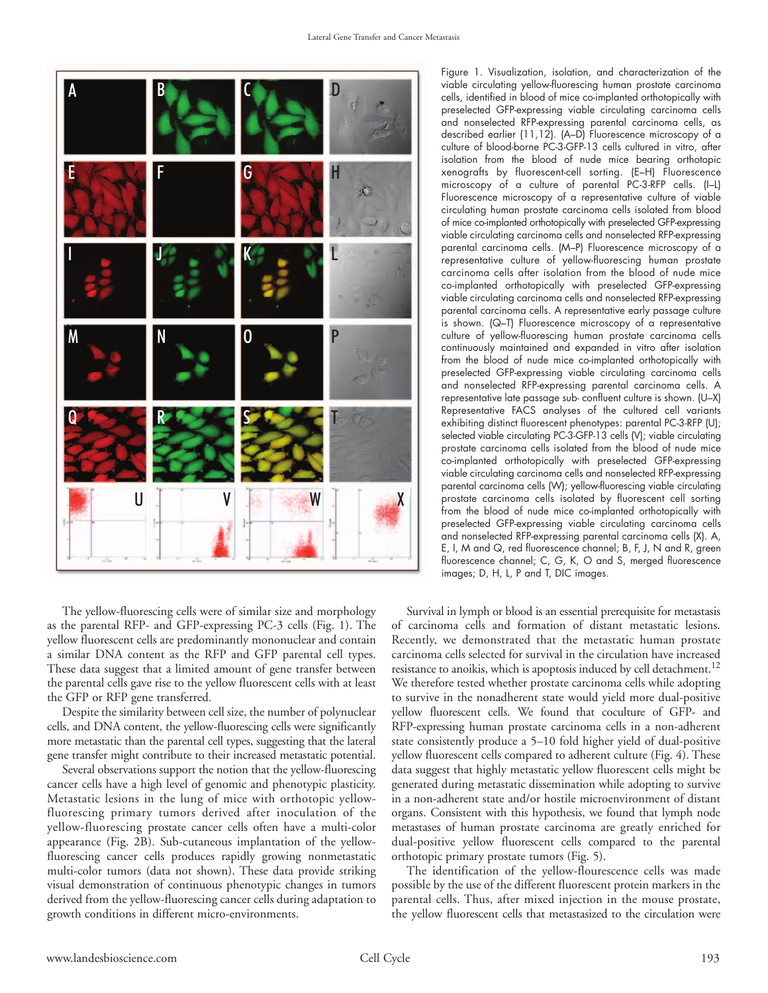

The yellow-fluorescing cells were of similar size and morphology as the parental RFP- and GFP-expressing PC-3 cells (Fig. 1). The yellow fluorescent cells are predominantly mononuclear and contain a similar DNA content as the RFP and GFP parental cell types. These data suggest that a limited amount of gene transfer between the parental cells gave rise to the yellow fluorescent cells with at least the GFP or RFP gene transferred.

Despite the similarity between cell size, the number of polynuclear cells, and DNA content, the yellow-fluorescing cells were significantly more metastatic than the parental cell types, suggesting that the lateral gene transfer might contribute to their increased metastatic potential.

Several observations support the notion that the yellow-fluorescing cancer cells have a high level of genomic and phenotypic plasticity. Metastatic lesions in the lung of mice with orthotopic yellowfluorescing primary tumors derived after inoculation of the yellow-fluorescing prostate cancer cells often have a multi-color appearance (Fig. 2B). Sub-cutaneous implantation of the yellowfluorescing cancer cells produces rapidly growing nonmetastatic multi-color tumors (data not shown). These data provide striking visual demonstration of continuous phenotypic changes in tumors derived from the yellow-fluorescing cancer cells during adaptation to growth conditions in different micro-environments.

**Figure 1. Visualization, isolation, and characterization of the viable circulating yellow-fluorescing human prostate carcinoma cells, identified in blood of mice co-implanted orthotopically with preselected GFP-expressing viable circulating carcinoma cells and nonselected RFP-expressing parental carcinoma cells, as described earlier (11,12). (A–D) Fluorescence microscopy of a culture of blood-borne PC-3-GFP-13 cells cultured in vitro, after isolation from the blood of nude mice bearing orthotopic xenografts by fluorescent-cell sorting. (E–H) Fluorescence microscopy of a culture of parental PC-3-RFP cells. (I–L) Fluorescence microscopy of a representative culture of viable circulating human prostate carcinoma cells isolated from blood of mice co-implanted orthotopically with preselected GFP-expressing viable circulating carcinoma cells and nonselected RFP-expressing parental carcinoma cells. (M–P) Fluorescence microscopy of a representative culture of yellow-fluorescing human prostate carcinoma cells after isolation from the blood of nude mice co-implanted orthotopically with preselected GFP-expressing viable circulating carcinoma cells and nonselected RFP-expressing parental carcinoma cells. A representative early passage culture is shown. (Q–T) Fluorescence microscopy of a representative culture of yellow-fluorescing human prostate carcinoma cells continuously maintained and expanded in vitro after isolation from the blood of nude mice co-implanted orthotopically with preselected GFP-expressing viable circulating carcinoma cells and nonselected RFP-expressing parental carcinoma cells. A representative late passage sub- confluent culture is shown. (U–X) Representative FACS analyses of the cultured cell variants exhibiting distinct fluorescent phenotypes: parental PC-3-RFP (U); selected viable circulating PC-3-GFP-13 cells (V); viable circulating prostate carcinoma cells isolated from the blood of nude mice co-implanted orthotopically with preselected GFP-expressing viable circulating carcinoma cells and nonselected RFP-expressing parental carcinoma cells (W); yellow-fluorescing viable circulating prostate carcinoma cells isolated by fluorescent cell sorting from the blood of nude mice co-implanted orthotopically with preselected GFP-expressing viable circulating carcinoma cells and nonselected RFP-expressing parental carcinoma cells (X). A, E, I, M and Q, red fluorescence channel; B, F, J, N and R, green fluorescence channel; C, G, K, O and S, merged fluorescence images; D, H, L, P and T, DIC images.**

Survival in lymph or blood is an essential prerequisite for metastasis of carcinoma cells and formation of distant metastatic lesions. Recently, we demonstrated that the metastatic human prostate carcinoma cells selected for survival in the circulation have increased resistance to anoikis, which is apoptosis induced by cell detachment.<sup>12</sup> We therefore tested whether prostate carcinoma cells while adopting to survive in the nonadherent state would yield more dual-positive yellow fluorescent cells. We found that coculture of GFP- and RFP-expressing human prostate carcinoma cells in a non-adherent state consistently produce a 5–10 fold higher yield of dual-positive yellow fluorescent cells compared to adherent culture (Fig. 4). These data suggest that highly metastatic yellow fluorescent cells might be generated during metastatic dissemination while adopting to survive in a non-adherent state and/or hostile microenvironment of distant organs. Consistent with this hypothesis, we found that lymph node metastases of human prostate carcinoma are greatly enriched for dual-positive yellow fluorescent cells compared to the parental orthotopic primary prostate tumors (Fig. 5).

The identification of the yellow-flourescence cells was made possible by the use of the different fluorescent protein markers in the parental cells. Thus, after mixed injection in the mouse prostate, the yellow fluorescent cells that metastasized to the circulation were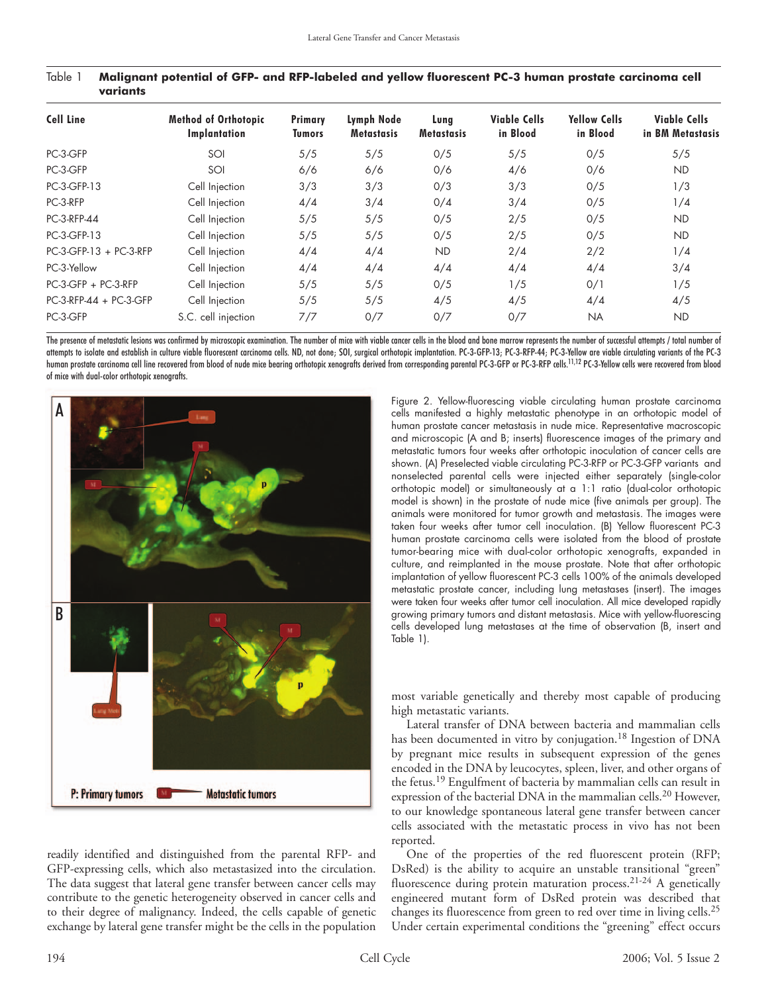| <b>Cell Line</b>         | <b>Method of Orthotopic</b><br><b>Implantation</b> | <b>Primary</b><br><b>Tumors</b> | Lymph Node<br><b>Metastasis</b> | Lung<br><b>Metastasis</b> | <b>Viable Cells</b><br>in Blood | <b>Yellow Cells</b><br>in Blood | <b>Viable Cells</b><br>in BM Metastasis |
|--------------------------|----------------------------------------------------|---------------------------------|---------------------------------|---------------------------|---------------------------------|---------------------------------|-----------------------------------------|
| PC-3-GFP                 | SOI                                                | 5/5                             | 5/5                             | 0/5                       | 5/5                             | 0/5                             | 5/5                                     |
| PC-3-GFP                 | SOI                                                | 6/6                             | 6/6                             | 0/6                       | 4/6                             | 0/6                             | <b>ND</b>                               |
| PC-3-GFP-13              | Cell Injection                                     | 3/3                             | 3/3                             | 0/3                       | 3/3                             | 0/5                             | 1/3                                     |
| PC-3-RFP                 | Cell Injection                                     | 4/4                             | 3/4                             | 0/4                       | 3/4                             | 0/5                             | 1/4                                     |
| PC-3-RFP-44              | Cell Injection                                     | 5/5                             | 5/5                             | 0/5                       | 2/5                             | 0/5                             | <b>ND</b>                               |
| PC-3-GFP-13              | Cell Injection                                     | 5/5                             | 5/5                             | 0/5                       | 2/5                             | 0/5                             | <b>ND</b>                               |
| $PC-3-GFP-13 + PC-3-RFP$ | Cell Injection                                     | 4/4                             | 4/4                             | <b>ND</b>                 | 2/4                             | 2/2                             | 1/4                                     |
| PC-3-Yellow              | Cell Injection                                     | 4/4                             | 4/4                             | 4/4                       | 4/4                             | 4/4                             | 3/4                                     |
| PC-3-GFP + PC-3-RFP      | Cell Injection                                     | 5/5                             | 5/5                             | 0/5                       | 1/5                             | 0/1                             | 1/5                                     |
| $PC-3-RFP-44 + PC-3-GFP$ | Cell Injection                                     | 5/5                             | 5/5                             | 4/5                       | 4/5                             | 4/4                             | 4/5                                     |
| PC-3-GFP                 | S.C. cell injection                                | 7/7                             | 0/7                             | 0/7                       | 0/7                             | <b>NA</b>                       | <b>ND</b>                               |
|                          |                                                    |                                 |                                 |                           |                                 |                                 |                                         |

| Table 1 | Malignant potential of GFP- and RFP-labeled and yellow fluorescent PC-3 human prostate carcinoma cell |
|---------|-------------------------------------------------------------------------------------------------------|
|         | variants                                                                                              |

The presence of metastatic lesions was confirmed by microscopic examination. The number of mice with viable cancer cells in the blood and bone marrow represents the number of successful attempts / total number of attempts to isolate and establish in culture viable fluorescent carcinoma cells. ND, not done; SOI, surgical orthotopic implantation. PC-3-GFP-13; PC-3-RFP-44; PC-3-Yellow are viable circulating variants of the PC-3 human prostate carcinoma cell line recovered from blood of nude mice bearing orthotopic xenografts derived from corresponding parental PC-3-GFP or PC-3-RFP cells.<sup>11,12</sup> PC-3-Yellow cells were recovered from blood of mice with dual-color orthotopic xenografts.



readily identified and distinguished from the parental RFP- and GFP-expressing cells, which also metastasized into the circulation. The data suggest that lateral gene transfer between cancer cells may contribute to the genetic heterogeneity observed in cancer cells and to their degree of malignancy. Indeed, the cells capable of genetic exchange by lateral gene transfer might be the cells in the population

**Figure 2. Yellow-fluorescing viable circulating human prostate carcinoma cells manifested a highly metastatic phenotype in an orthotopic model of human prostate cancer metastasis in nude mice. Representative macroscopic and microscopic (A and B; inserts) fluorescence images of the primary and metastatic tumors four weeks after orthotopic inoculation of cancer cells are shown. (A) Preselected viable circulating PC-3-RFP or PC-3-GFP variants and nonselected parental cells were injected either separately (single-color orthotopic model) or simultaneously at a 1:1 ratio (dual-color orthotopic model is shown) in the prostate of nude mice (five animals per group). The animals were monitored for tumor growth and metastasis. The images were taken four weeks after tumor cell inoculation. (B) Yellow fluorescent PC-3 human prostate carcinoma cells were isolated from the blood of prostate tumor-bearing mice with dual-color orthotopic xenografts, expanded in culture, and reimplanted in the mouse prostate. Note that after orthotopic implantation of yellow fluorescent PC-3 cells 100% of the animals developed metastatic prostate cancer, including lung metastases (insert). The images were taken four weeks after tumor cell inoculation. All mice developed rapidly growing primary tumors and distant metastasis. Mice with yellow-fluorescing cells developed lung metastases at the time of observation (B, insert and Table 1).**

most variable genetically and thereby most capable of producing high metastatic variants.

Lateral transfer of DNA between bacteria and mammalian cells has been documented in vitro by conjugation.<sup>18</sup> Ingestion of DNA by pregnant mice results in subsequent expression of the genes encoded in the DNA by leucocytes, spleen, liver, and other organs of the fetus.<sup>19</sup> Engulfment of bacteria by mammalian cells can result in expression of the bacterial DNA in the mammalian cells.<sup>20</sup> However, to our knowledge spontaneous lateral gene transfer between cancer cells associated with the metastatic process in vivo has not been reported.

One of the properties of the red fluorescent protein (RFP; DsRed) is the ability to acquire an unstable transitional "green" fluorescence during protein maturation process.<sup>21-24</sup> A genetically engineered mutant form of DsRed protein was described that changes its fluorescence from green to red over time in living cells.25 Under certain experimental conditions the "greening" effect occurs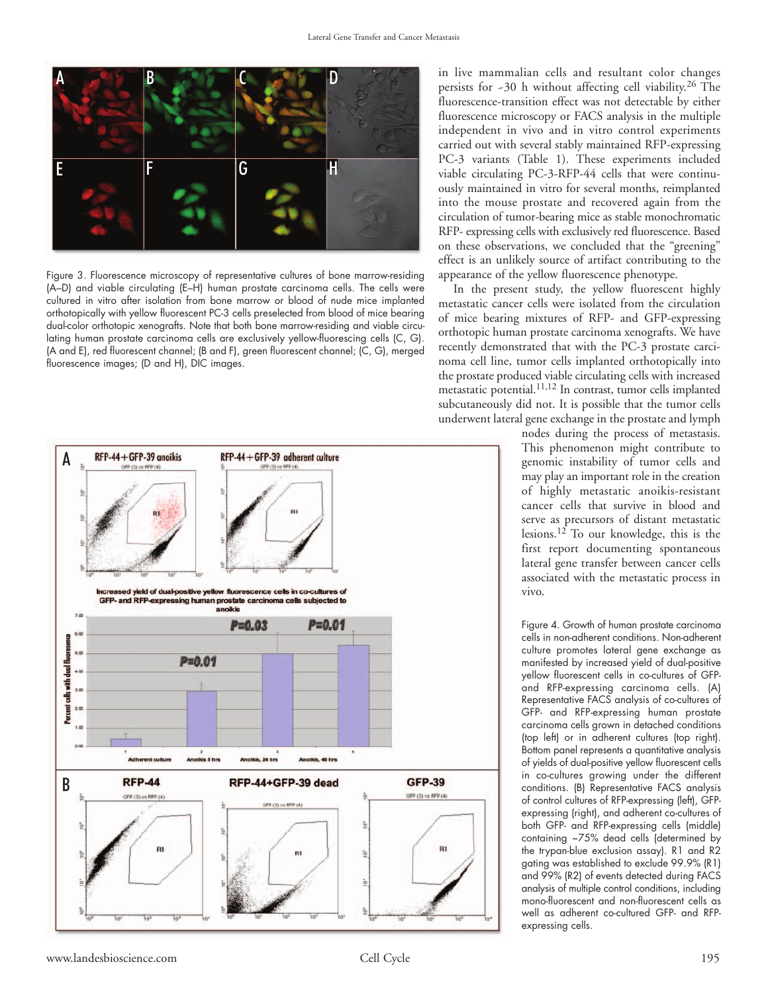

**Figure 3. Fluorescence microscopy of representative cultures of bone marrow-residing (A–D) and viable circulating (E–H) human prostate carcinoma cells. The cells were cultured in vitro after isolation from bone marrow or blood of nude mice implanted orthotopically with yellow fluorescent PC-3 cells preselected from blood of mice bearing dual-color orthotopic xenografts. Note that both bone marrow-residing and viable circulating human prostate carcinoma cells are exclusively yellow-fluorescing cells (C, G). (A and E), red fluorescent channel; (B and F), green fluorescent channel; (C, G), merged fluorescence images; (D and H), DIC images.**



in live mammalian cells and resultant color changes persists for  $-30$  h without affecting cell viability.<sup>26</sup> The fluorescence-transition effect was not detectable by either fluorescence microscopy or FACS analysis in the multiple independent in vivo and in vitro control experiments carried out with several stably maintained RFP-expressing PC-3 variants (Table 1). These experiments included viable circulating PC-3-RFP-44 cells that were continuously maintained in vitro for several months, reimplanted into the mouse prostate and recovered again from the circulation of tumor-bearing mice as stable monochromatic RFP- expressing cells with exclusively red fluorescence. Based on these observations, we concluded that the "greening" effect is an unlikely source of artifact contributing to the appearance of the yellow fluorescence phenotype.

In the present study, the yellow fluorescent highly metastatic cancer cells were isolated from the circulation of mice bearing mixtures of RFP- and GFP-expressing orthotopic human prostate carcinoma xenografts. We have recently demonstrated that with the PC-3 prostate carcinoma cell line, tumor cells implanted orthotopically into the prostate produced viable circulating cells with increased metastatic potential.<sup>11,12</sup> In contrast, tumor cells implanted subcutaneously did not. It is possible that the tumor cells underwent lateral gene exchange in the prostate and lymph

> nodes during the process of metastasis. This phenomenon might contribute to genomic instability of tumor cells and may play an important role in the creation of highly metastatic anoikis-resistant cancer cells that survive in blood and serve as precursors of distant metastatic lesions.<sup>12</sup> To our knowledge, this is the first report documenting spontaneous lateral gene transfer between cancer cells associated with the metastatic process in vivo.

> **Figure 4. Growth of human prostate carcinoma cells in non-adherent conditions. Non-adherent culture promotes lateral gene exchange as manifested by increased yield of dual-positive yellow fluorescent cells in co-cultures of GFPand RFP-expressing carcinoma cells. (A) Representative FACS analysis of co-cultures of GFP- and RFP-expressing human prostate carcinoma cells grown in detached conditions (top left) or in adherent cultures (top right). Bottom panel represents a quantitative analysis of yields of dual-positive yellow fluorescent cells in co-cultures growing under the different conditions. (B) Representative FACS analysis of control cultures of RFP-expressing (left), GFPexpressing (right), and adherent co-cultures of both GFP- and RFP-expressing cells (middle) containing ~75% dead cells (determined by the trypan-blue exclusion assay). R1 and R2 gating was established to exclude 99.9% (R1) and 99% (R2) of events detected during FACS analysis of multiple control conditions, including mono-fluorescent and non-fluorescent cells as well as adherent co-cultured GFP- and RFPexpressing cells.**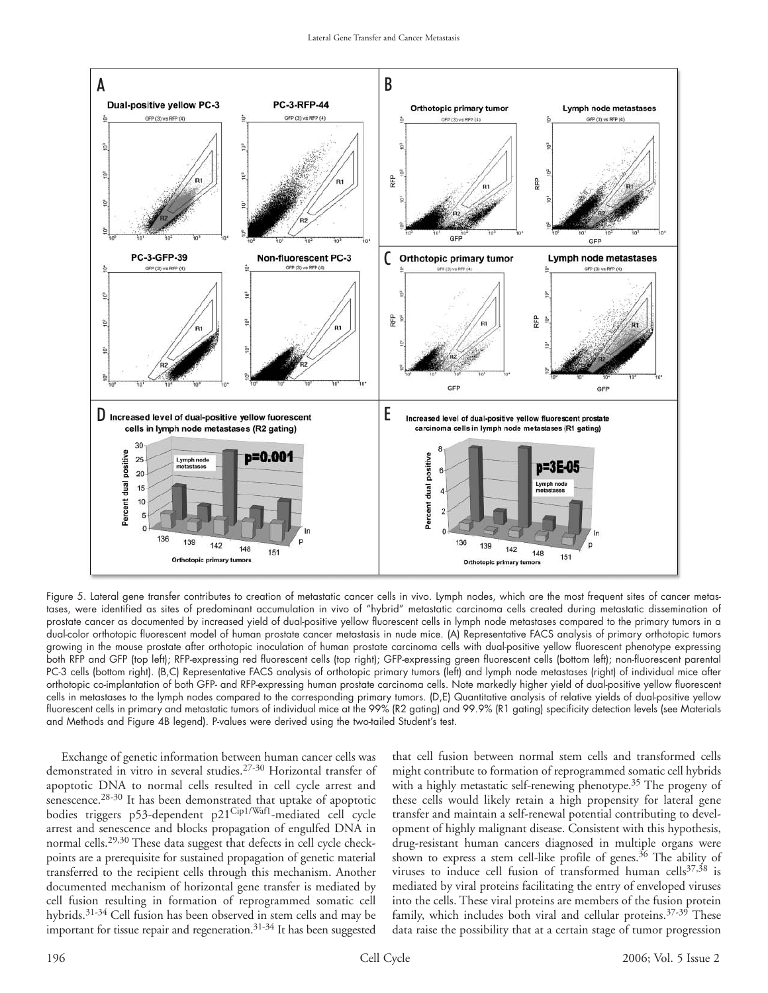

**Figure 5. Lateral gene transfer contributes to creation of metastatic cancer cells in vivo. Lymph nodes, which are the most frequent sites of cancer metastases, were identified as sites of predominant accumulation in vivo of "hybrid" metastatic carcinoma cells created during metastatic dissemination of prostate cancer as documented by increased yield of dual-positive yellow fluorescent cells in lymph node metastases compared to the primary tumors in a dual-color orthotopic fluorescent model of human prostate cancer metastasis in nude mice. (A) Representative FACS analysis of primary orthotopic tumors growing in the mouse prostate after orthotopic inoculation of human prostate carcinoma cells with dual-positive yellow fluorescent phenotype expressing both RFP and GFP (top left); RFP-expressing red fluorescent cells (top right); GFP-expressing green fluorescent cells (bottom left); non-fluorescent parental PC-3 cells (bottom right). (B,C) Representative FACS analysis of orthotopic primary tumors (left) and lymph node metastases (right) of individual mice after orthotopic co-implantation of both GFP- and RFP-expressing human prostate carcinoma cells. Note markedly higher yield of dual-positive yellow fluorescent cells in metastases to the lymph nodes compared to the corresponding primary tumors. (D,E) Quantitative analysis of relative yields of dual-positive yellow fluorescent cells in primary and metastatic tumors of individual mice at the 99% (R2 gating) and 99.9% (R1 gating) specificity detection levels (see Materials and Methods and Figure 4B legend). P-values were derived using the two-tailed Student's test.** 

Exchange of genetic information between human cancer cells was demonstrated in vitro in several studies.27-30 Horizontal transfer of apoptotic DNA to normal cells resulted in cell cycle arrest and senescence.<sup>28-30</sup> It has been demonstrated that uptake of apoptotic bodies triggers p53-dependent p21<sup>Cip1/Waf1</sup>-mediated cell cycle arrest and senescence and blocks propagation of engulfed DNA in normal cells.29,30 These data suggest that defects in cell cycle checkpoints are a prerequisite for sustained propagation of genetic material transferred to the recipient cells through this mechanism. Another documented mechanism of horizontal gene transfer is mediated by cell fusion resulting in formation of reprogrammed somatic cell hybrids.31-34 Cell fusion has been observed in stem cells and may be important for tissue repair and regeneration. $31-34$  It has been suggested

that cell fusion between normal stem cells and transformed cells might contribute to formation of reprogrammed somatic cell hybrids with a highly metastatic self-renewing phenotype.<sup>35</sup> The progeny of these cells would likely retain a high propensity for lateral gene transfer and maintain a self-renewal potential contributing to development of highly malignant disease. Consistent with this hypothesis, drug-resistant human cancers diagnosed in multiple organs were shown to express a stem cell-like profile of genes.<sup>36</sup> The ability of viruses to induce cell fusion of transformed human cells $37,38$  is mediated by viral proteins facilitating the entry of enveloped viruses into the cells. These viral proteins are members of the fusion protein family, which includes both viral and cellular proteins.  $37-39$  These data raise the possibility that at a certain stage of tumor progression